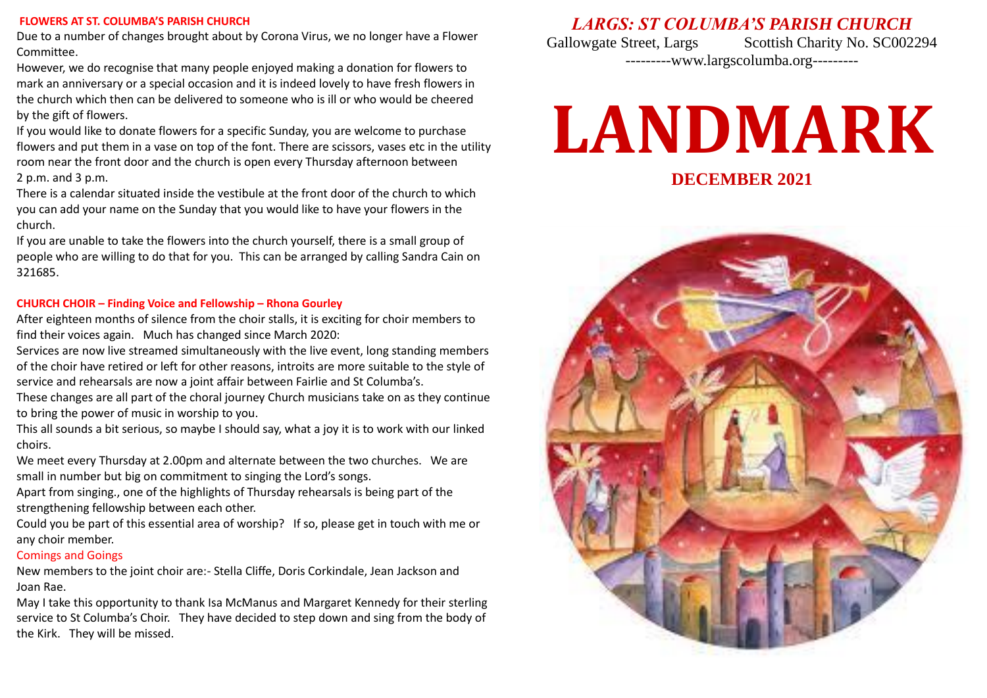### **FLOWERS AT ST. COLUMBA'S PARISH CHURCH**

Due to a number of changes brought about by Corona Virus, we no longer have a Flower Committee.

However, we do recognise that many people enjoyed making a donation for flowers to mark an anniversary or a special occasion and it is indeed lovely to have fresh flowers in the church which then can be delivered to someone who is ill or who would be cheered by the gift of flowers.

If you would like to donate flowers for a specific Sunday, you are welcome to purchase flowers and put them in a vase on top of the font. There are scissors, vases etc in the utility room near the front door and the church is open every Thursday afternoon between 2 p.m. and 3 p.m.

There is a calendar situated inside the vestibule at the front door of the church to which you can add your name on the Sunday that you would like to have your flowers in the church.

If you are unable to take the flowers into the church yourself, there is a small group of people who are willing to do that for you. This can be arranged by calling Sandra Cain on 321685.

### **CHURCH CHOIR – Finding Voice and Fellowship – Rhona Gourley**

After eighteen months of silence from the choir stalls, it is exciting for choir members to find their voices again. Much has changed since March 2020:

Services are now live streamed simultaneously with the live event, long standing members of the choir have retired or left for other reasons, introits are more suitable to the style of service and rehearsals are now a joint affair between Fairlie and St Columba's.

These changes are all part of the choral journey Church musicians take on as they continue to bring the power of music in worship to you.

This all sounds a bit serious, so maybe I should say, what a joy it is to work with our linked choirs.

We meet every Thursday at 2.00pm and alternate between the two churches. We are small in number but big on commitment to singing the Lord's songs.

Apart from singing., one of the highlights of Thursday rehearsals is being part of the strengthening fellowship between each other.

Could you be part of this essential area of worship? If so, please get in touch with me or any choir member.

### Comings and Goings

New members to the joint choir are:- Stella Cliffe, Doris Corkindale, Jean Jackson and Joan Rae.

May I take this opportunity to thank Isa McManus and Margaret Kennedy for their sterling service to St Columba's Choir. They have decided to step down and sing from the body of the Kirk. They will be missed.

# *LARGS: ST COLUMBA'S PARISH CHURCH*

Gallowgate Street, Largs Scottish Charity No. SC002294 ---------www.largscolumba.org---------

# **LANDMARK**

**DECEMBER 2021**